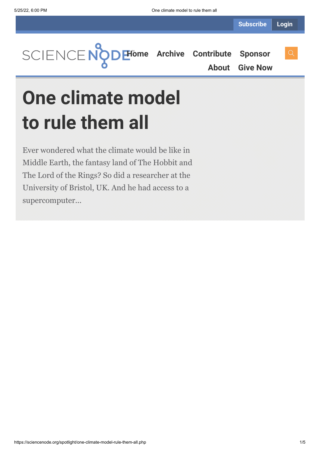

**[About](https://sciencenode.org/about/index.php) [Give Now](https://sciencenode.org/donate/index.php)**

# **One climate model to rule them all**

Ever wondered what the climate would be like in Middle Earth, the fantasy land of The Hobbit and The Lord of the Rings? So did a researcher at the University of Bristol, UK. And he had access to a supercomputer...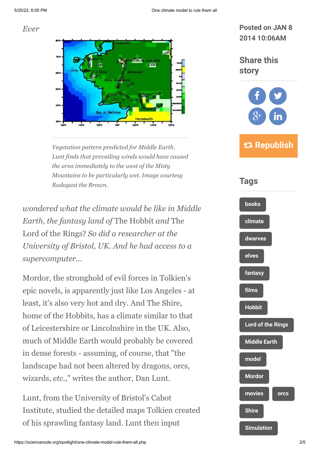#### *Ever*



*Vegetation pattern predicted for Middle Earth. Lunt finds that prevailing winds would have caused the area immediately to the west of the Misty Mountains to be particularly wet. Image courtesy Radagast the Brown.*

*wondered what the climate would be like in Middle Earth, the fantasy land of* The Hobbit *and* The Lord of the Rings? *So did a researcher at the University of Bristol, UK. And he had access to a supercomputer...*

Mordor, the stronghold of evil forces in Tolkien's epic novels, is apparently just like Los Angeles - at least, it's also very hot and dry. And The Shire, home of the Hobbits, has a climate similar to that of Leicestershire or Lincolnshire in the UK. Also, much of Middle Earth would probably be covered in dense forests - assuming, of course, that "the landscape had not been altered by dragons, orcs, wizards, *etc.*," writes the author, Dan Lunt.

Lunt, from the University of Bristol's Cabot Institute, studied the detailed maps Tolkien created of his sprawling fantasy land. Lunt then input

#### **Posted on JAN 8 2014 10:06AM**

### **Share this story**



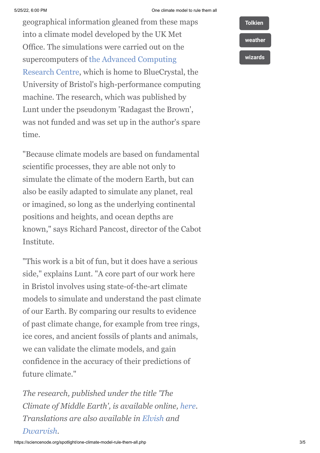#### 5/25/22, 6:00 PM One climate model to rule them all

geographical information gleaned from these maps into a climate model developed by the UK Met Office. The simulations were carried out on the supercomputers of the Advanced Computing [Research Centre, which is home to BlueCryst](https://www.acrc.bris.ac.uk/)al, the University of Bristol's high-performance computing machine. The research, which was published by Lunt under the pseudonym 'Radagast the Brown', was not funded and was set up in the author's spare time.

"Because climate models are based on fundamental scientific processes, they are able not only to simulate the climate of the modern Earth, but can also be easily adapted to simulate any planet, real or imagined, so long as the underlying continental positions and heights, and ocean depths are known," says Richard Pancost, director of the Cabot Institute.

"This work is a bit of fun, but it does have a serious side," explains Lunt. "A core part of our work here in Bristol involves using state-of-the-art climate models to simulate and understand the past climate of our Earth. By comparing our results to evidence of past climate change, for example from tree rings, ice cores, and ancient fossils of plants and animals, we can validate the climate models, and gain confidence in the accuracy of their predictions of future climate."

*The research, published under the title 'The Climate of Middle Earth', is available online, [here](http://www.bristol.ac.uk/university/media/press/10013-english.pdf). Translations are also available in [Elvish](http://uk.sitestat.com/bristol/bristol-ext/s?.news.2013.10013_html.10013-elvish.pdf&ns_type=pdf&ns_url=http://www.bristol.ac.uk/university/media/press/10013-elvish.pdf) and [Dwarvish.](http://uk.sitestat.com/bristol/bristol-ext/s?.news.2013.10013_html.10013-dwarfish.pdf&ns_type=pdf&ns_url=http://www.bristol.ac.uk/university/media/press/10013-dwarfish.pdf)*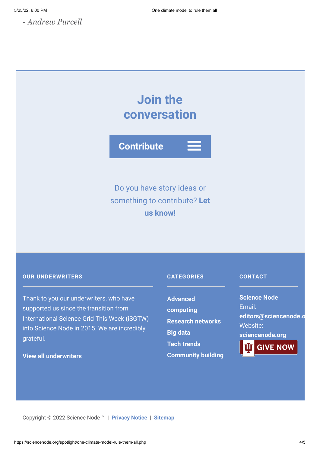*- Andrew Purcell*

## **Join the conversation**



Do you have story ideas or something to contribute? **Let us know!**

#### **OUR UNDERWRITERS**

Thank to you our underwriters, who have supported us since the transition from International Science Grid This Week (iSGTW) into Science Node in 2015. We are incredibly grateful.

#### **[View all underwriters](https://sciencenode.org/about/index.php)**

#### **CATEGORIES**

**Advanced [computing](https://sciencenode.org/archive/?year=2016&category=Advanced%20computing) [Research networks](https://sciencenode.org/archive/?year=2016&category=Advanced%20computing&category=Research%20networks) [Big data](https://sciencenode.org/archive/?year=2016&category=Advanced%20computing&category=Research%20networks&category=Big%20data) [Tech trends](https://sciencenode.org/archive/?year=2016&category=Advanced%20computing&category=Research%20networks&category=Big%20data&category=Tech%20trends) [Community building](https://sciencenode.org/archive/?year=2016&category=Advanced%20computing&category=Research%20networks&category=Big%20data&category=Tech%20trends&category=Community%20building)**

#### **CONTACT**

**Science Node** Email: **[editors@sciencenode.o](mailto:edit%6F%72s@s%63%69encenode.%6F%72%67)** Website: **[sciencenode.org](https://sciencenode.org/) GIVE NOW** 

Copyright © 2022 Science Node ™ | **[Privacy Notice](https://sciencenode.org/privacy/index.php)** | **[Sitemap](https://sciencenode.org/sitemap/index.php)**